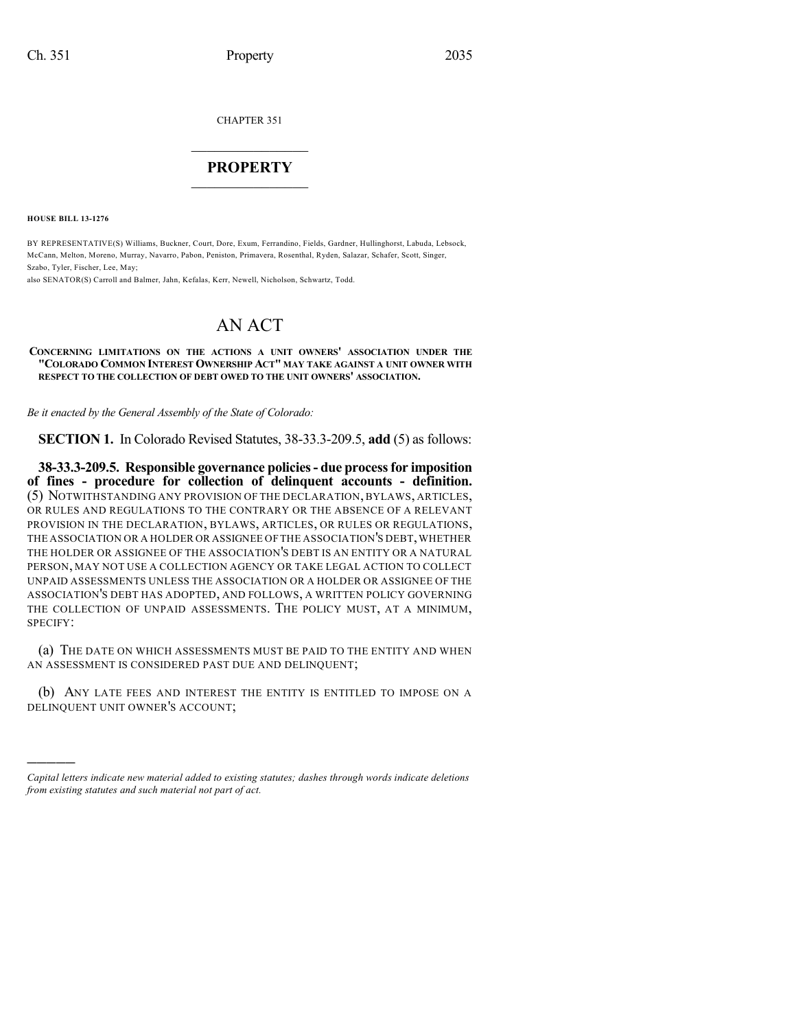CHAPTER 351

## $\mathcal{L}_\text{max}$  . The set of the set of the set of the set of the set of the set of the set of the set of the set of the set of the set of the set of the set of the set of the set of the set of the set of the set of the set **PROPERTY**  $\_$   $\_$   $\_$   $\_$   $\_$   $\_$   $\_$   $\_$   $\_$

**HOUSE BILL 13-1276**

)))))

BY REPRESENTATIVE(S) Williams, Buckner, Court, Dore, Exum, Ferrandino, Fields, Gardner, Hullinghorst, Labuda, Lebsock, McCann, Melton, Moreno, Murray, Navarro, Pabon, Peniston, Primavera, Rosenthal, Ryden, Salazar, Schafer, Scott, Singer, Szabo, Tyler, Fischer, Lee, May;

also SENATOR(S) Carroll and Balmer, Jahn, Kefalas, Kerr, Newell, Nicholson, Schwartz, Todd.

## AN ACT

## **CONCERNING LIMITATIONS ON THE ACTIONS A UNIT OWNERS' ASSOCIATION UNDER THE "COLORADO COMMON INTEREST OWNERSHIP ACT" MAY TAKE AGAINST A UNIT OWNER WITH RESPECT TO THE COLLECTION OF DEBT OWED TO THE UNIT OWNERS' ASSOCIATION.**

*Be it enacted by the General Assembly of the State of Colorado:*

**SECTION 1.** In Colorado Revised Statutes, 38-33.3-209.5, **add** (5) as follows:

**38-33.3-209.5. Responsible governance policies- due processfor imposition of fines - procedure for collection of delinquent accounts - definition.** (5) NOTWITHSTANDING ANY PROVISION OF THE DECLARATION, BYLAWS, ARTICLES, OR RULES AND REGULATIONS TO THE CONTRARY OR THE ABSENCE OF A RELEVANT PROVISION IN THE DECLARATION, BYLAWS, ARTICLES, OR RULES OR REGULATIONS, THE ASSOCIATION OR A HOLDER OR ASSIGNEE OF THE ASSOCIATION'S DEBT, WHETHER THE HOLDER OR ASSIGNEE OF THE ASSOCIATION'S DEBT IS AN ENTITY OR A NATURAL PERSON, MAY NOT USE A COLLECTION AGENCY OR TAKE LEGAL ACTION TO COLLECT UNPAID ASSESSMENTS UNLESS THE ASSOCIATION OR A HOLDER OR ASSIGNEE OF THE ASSOCIATION'S DEBT HAS ADOPTED, AND FOLLOWS, A WRITTEN POLICY GOVERNING THE COLLECTION OF UNPAID ASSESSMENTS. THE POLICY MUST, AT A MINIMUM, SPECIFY:

(a) THE DATE ON WHICH ASSESSMENTS MUST BE PAID TO THE ENTITY AND WHEN AN ASSESSMENT IS CONSIDERED PAST DUE AND DELINQUENT;

(b) ANY LATE FEES AND INTEREST THE ENTITY IS ENTITLED TO IMPOSE ON A DELINQUENT UNIT OWNER'S ACCOUNT;

*Capital letters indicate new material added to existing statutes; dashes through words indicate deletions from existing statutes and such material not part of act.*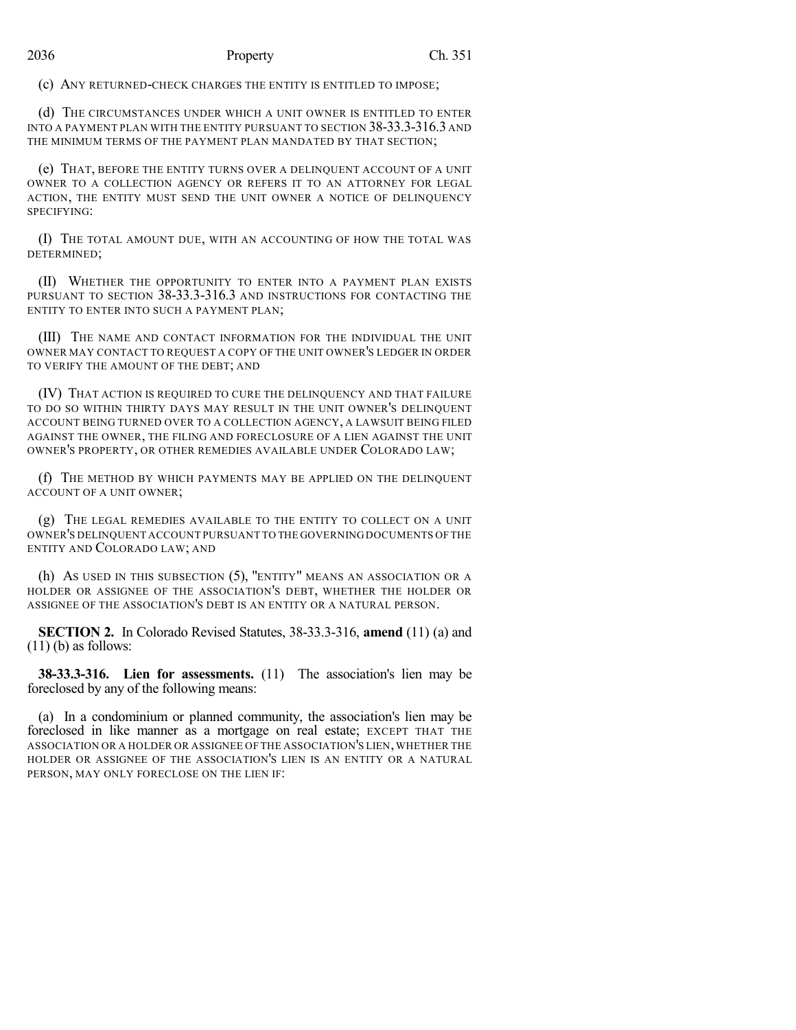(c) ANY RETURNED-CHECK CHARGES THE ENTITY IS ENTITLED TO IMPOSE;

(d) THE CIRCUMSTANCES UNDER WHICH A UNIT OWNER IS ENTITLED TO ENTER INTO A PAYMENT PLAN WITH THE ENTITY PURSUANT TO SECTION 38-33.3-316.3 AND THE MINIMUM TERMS OF THE PAYMENT PLAN MANDATED BY THAT SECTION;

(e) THAT, BEFORE THE ENTITY TURNS OVER A DELINQUENT ACCOUNT OF A UNIT OWNER TO A COLLECTION AGENCY OR REFERS IT TO AN ATTORNEY FOR LEGAL ACTION, THE ENTITY MUST SEND THE UNIT OWNER A NOTICE OF DELINQUENCY SPECIFYING:

(I) THE TOTAL AMOUNT DUE, WITH AN ACCOUNTING OF HOW THE TOTAL WAS DETERMINED;

(II) WHETHER THE OPPORTUNITY TO ENTER INTO A PAYMENT PLAN EXISTS PURSUANT TO SECTION 38-33.3-316.3 AND INSTRUCTIONS FOR CONTACTING THE ENTITY TO ENTER INTO SUCH A PAYMENT PLAN;

(III) THE NAME AND CONTACT INFORMATION FOR THE INDIVIDUAL THE UNIT OWNER MAY CONTACT TO REQUEST A COPY OF THE UNIT OWNER'S LEDGER IN ORDER TO VERIFY THE AMOUNT OF THE DEBT; AND

(IV) THAT ACTION IS REQUIRED TO CURE THE DELINQUENCY AND THAT FAILURE TO DO SO WITHIN THIRTY DAYS MAY RESULT IN THE UNIT OWNER'S DELINQUENT ACCOUNT BEING TURNED OVER TO A COLLECTION AGENCY, A LAWSUIT BEING FILED AGAINST THE OWNER, THE FILING AND FORECLOSURE OF A LIEN AGAINST THE UNIT OWNER'S PROPERTY, OR OTHER REMEDIES AVAILABLE UNDER COLORADO LAW;

(f) THE METHOD BY WHICH PAYMENTS MAY BE APPLIED ON THE DELINQUENT ACCOUNT OF A UNIT OWNER;

(g) THE LEGAL REMEDIES AVAILABLE TO THE ENTITY TO COLLECT ON A UNIT OWNER'S DELINQUENT ACCOUNT PURSUANT TO THE GOVERNING DOCUMENTS OF THE ENTITY AND COLORADO LAW; AND

(h) AS USED IN THIS SUBSECTION (5), "ENTITY" MEANS AN ASSOCIATION OR A HOLDER OR ASSIGNEE OF THE ASSOCIATION'S DEBT, WHETHER THE HOLDER OR ASSIGNEE OF THE ASSOCIATION'S DEBT IS AN ENTITY OR A NATURAL PERSON.

**SECTION 2.** In Colorado Revised Statutes, 38-33.3-316, **amend** (11) (a) and  $(11)$  (b) as follows:

**38-33.3-316. Lien for assessments.** (11) The association's lien may be foreclosed by any of the following means:

(a) In a condominium or planned community, the association's lien may be foreclosed in like manner as a mortgage on real estate; EXCEPT THAT THE ASSOCIATION OR A HOLDER OR ASSIGNEE OF THE ASSOCIATION'S LIEN, WHETHER THE HOLDER OR ASSIGNEE OF THE ASSOCIATION'S LIEN IS AN ENTITY OR A NATURAL PERSON, MAY ONLY FORECLOSE ON THE LIEN IF: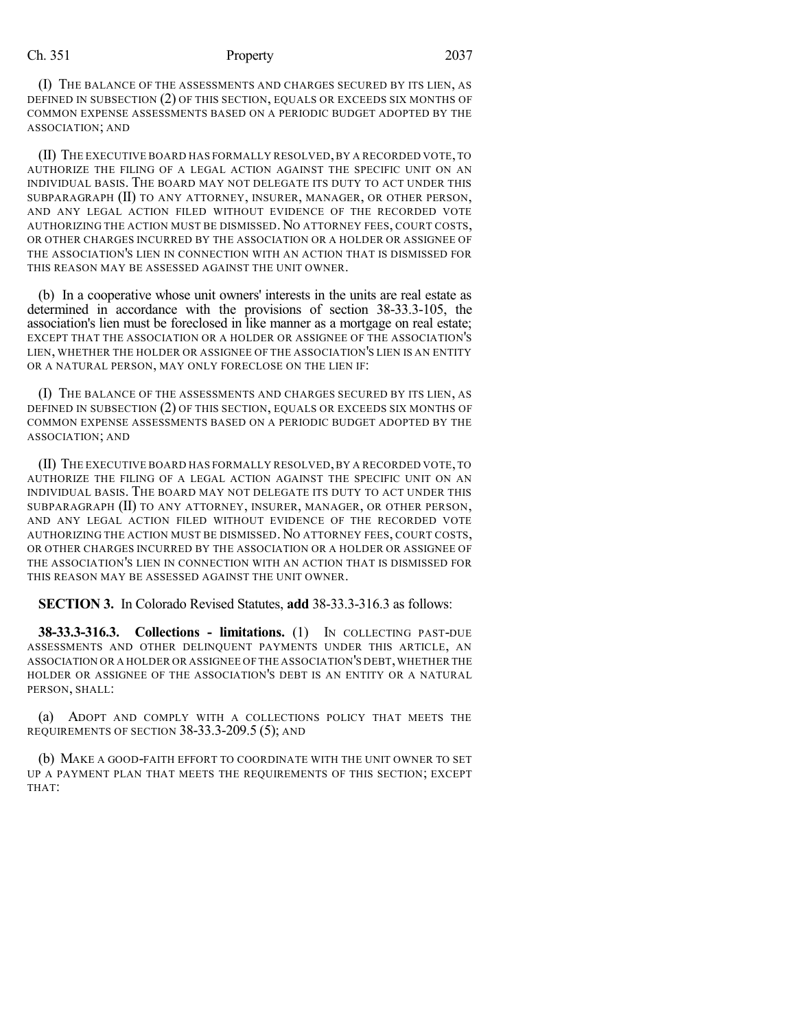## Ch. 351 Property 2037

(I) THE BALANCE OF THE ASSESSMENTS AND CHARGES SECURED BY ITS LIEN, AS DEFINED IN SUBSECTION (2) OF THIS SECTION, EQUALS OR EXCEEDS SIX MONTHS OF COMMON EXPENSE ASSESSMENTS BASED ON A PERIODIC BUDGET ADOPTED BY THE ASSOCIATION; AND

(II) THE EXECUTIVE BOARD HAS FORMALLY RESOLVED,BY A RECORDED VOTE,TO AUTHORIZE THE FILING OF A LEGAL ACTION AGAINST THE SPECIFIC UNIT ON AN INDIVIDUAL BASIS. THE BOARD MAY NOT DELEGATE ITS DUTY TO ACT UNDER THIS SUBPARAGRAPH (II) TO ANY ATTORNEY, INSURER, MANAGER, OR OTHER PERSON, AND ANY LEGAL ACTION FILED WITHOUT EVIDENCE OF THE RECORDED VOTE AUTHORIZING THE ACTION MUST BE DISMISSED. NO ATTORNEY FEES, COURT COSTS, OR OTHER CHARGES INCURRED BY THE ASSOCIATION OR A HOLDER OR ASSIGNEE OF THE ASSOCIATION'S LIEN IN CONNECTION WITH AN ACTION THAT IS DISMISSED FOR THIS REASON MAY BE ASSESSED AGAINST THE UNIT OWNER.

(b) In a cooperative whose unit owners' interests in the units are real estate as determined in accordance with the provisions of section 38-33.3-105, the association's lien must be foreclosed in like manner as a mortgage on real estate; EXCEPT THAT THE ASSOCIATION OR A HOLDER OR ASSIGNEE OF THE ASSOCIATION'S LIEN, WHETHER THE HOLDER OR ASSIGNEE OF THE ASSOCIATION'S LIEN IS AN ENTITY OR A NATURAL PERSON, MAY ONLY FORECLOSE ON THE LIEN IF:

(I) THE BALANCE OF THE ASSESSMENTS AND CHARGES SECURED BY ITS LIEN, AS DEFINED IN SUBSECTION (2) OF THIS SECTION, EQUALS OR EXCEEDS SIX MONTHS OF COMMON EXPENSE ASSESSMENTS BASED ON A PERIODIC BUDGET ADOPTED BY THE ASSOCIATION; AND

(II) THE EXECUTIVE BOARD HAS FORMALLY RESOLVED,BY A RECORDED VOTE,TO AUTHORIZE THE FILING OF A LEGAL ACTION AGAINST THE SPECIFIC UNIT ON AN INDIVIDUAL BASIS. THE BOARD MAY NOT DELEGATE ITS DUTY TO ACT UNDER THIS SUBPARAGRAPH (II) TO ANY ATTORNEY, INSURER, MANAGER, OR OTHER PERSON, AND ANY LEGAL ACTION FILED WITHOUT EVIDENCE OF THE RECORDED VOTE AUTHORIZING THE ACTION MUST BE DISMISSED. NO ATTORNEY FEES, COURT COSTS, OR OTHER CHARGES INCURRED BY THE ASSOCIATION OR A HOLDER OR ASSIGNEE OF THE ASSOCIATION'S LIEN IN CONNECTION WITH AN ACTION THAT IS DISMISSED FOR THIS REASON MAY BE ASSESSED AGAINST THE UNIT OWNER.

**SECTION 3.** In Colorado Revised Statutes, **add** 38-33.3-316.3 as follows:

**38-33.3-316.3. Collections - limitations.** (1) IN COLLECTING PAST-DUE ASSESSMENTS AND OTHER DELINQUENT PAYMENTS UNDER THIS ARTICLE, AN ASSOCIATION OR A HOLDER OR ASSIGNEE OF THE ASSOCIATION'S DEBT, WHETHER THE HOLDER OR ASSIGNEE OF THE ASSOCIATION'S DEBT IS AN ENTITY OR A NATURAL PERSON, SHALL:

(a) ADOPT AND COMPLY WITH A COLLECTIONS POLICY THAT MEETS THE REQUIREMENTS OF SECTION 38-33.3-209.5 (5); AND

(b) MAKE A GOOD-FAITH EFFORT TO COORDINATE WITH THE UNIT OWNER TO SET UP A PAYMENT PLAN THAT MEETS THE REQUIREMENTS OF THIS SECTION; EXCEPT THAT: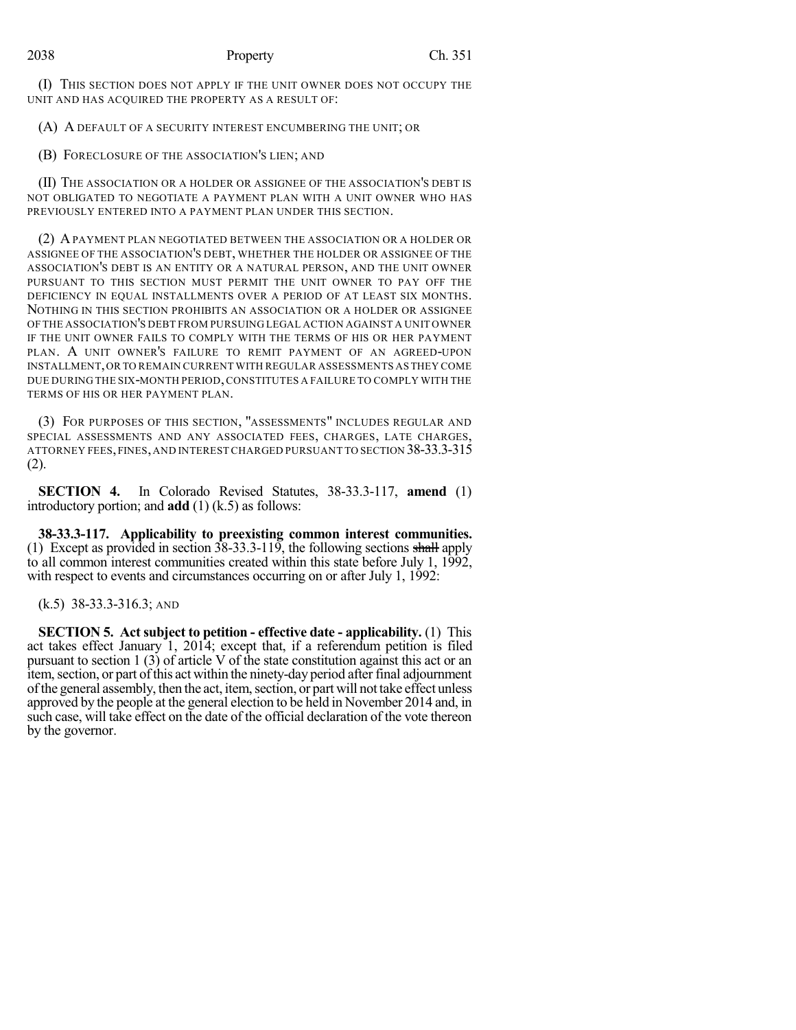(I) THIS SECTION DOES NOT APPLY IF THE UNIT OWNER DOES NOT OCCUPY THE UNIT AND HAS ACQUIRED THE PROPERTY AS A RESULT OF:

(A) A DEFAULT OF A SECURITY INTEREST ENCUMBERING THE UNIT; OR

(B) FORECLOSURE OF THE ASSOCIATION'S LIEN; AND

(II) THE ASSOCIATION OR A HOLDER OR ASSIGNEE OF THE ASSOCIATION'S DEBT IS NOT OBLIGATED TO NEGOTIATE A PAYMENT PLAN WITH A UNIT OWNER WHO HAS PREVIOUSLY ENTERED INTO A PAYMENT PLAN UNDER THIS SECTION.

(2) APAYMENT PLAN NEGOTIATED BETWEEN THE ASSOCIATION OR A HOLDER OR ASSIGNEE OF THE ASSOCIATION'S DEBT, WHETHER THE HOLDER OR ASSIGNEE OF THE ASSOCIATION'S DEBT IS AN ENTITY OR A NATURAL PERSON, AND THE UNIT OWNER PURSUANT TO THIS SECTION MUST PERMIT THE UNIT OWNER TO PAY OFF THE DEFICIENCY IN EQUAL INSTALLMENTS OVER A PERIOD OF AT LEAST SIX MONTHS. NOTHING IN THIS SECTION PROHIBITS AN ASSOCIATION OR A HOLDER OR ASSIGNEE OF THE ASSOCIATION'S DEBT FROM PURSUING LEGAL ACTION AGAINST A UNIT OWNER IF THE UNIT OWNER FAILS TO COMPLY WITH THE TERMS OF HIS OR HER PAYMENT PLAN. A UNIT OWNER'S FAILURE TO REMIT PAYMENT OF AN AGREED-UPON INSTALLMENT,OR TO REMAIN CURRENT WITH REGULAR ASSESSMENTS ASTHEY COME DUE DURING THE SIX-MONTH PERIOD,CONSTITUTES A FAILURE TO COMPLY WITH THE TERMS OF HIS OR HER PAYMENT PLAN.

(3) FOR PURPOSES OF THIS SECTION, "ASSESSMENTS" INCLUDES REGULAR AND SPECIAL ASSESSMENTS AND ANY ASSOCIATED FEES, CHARGES, LATE CHARGES, ATTORNEY FEES,FINES,AND INTEREST CHARGED PURSUANT TO SECTION 38-33.3-315 (2).

**SECTION 4.** In Colorado Revised Statutes, 38-33.3-117, **amend** (1) introductory portion; and **add** (1) (k.5) as follows:

**38-33.3-117. Applicability to preexisting common interest communities.** (1) Except as provided in section  $38-33.3-119$ , the following sections shall apply to all common interest communities created within this state before July 1, 1992, with respect to events and circumstances occurring on or after July 1, 1992:

(k.5) 38-33.3-316.3; AND

**SECTION 5. Act subject to petition - effective date - applicability.** (1) This act takes effect January 1, 2014; except that, if a referendum petition is filed pursuant to section 1 (3) of article V of the state constitution against this act or an item, section, or part of this act within the ninety-day period after final adjournment ofthe general assembly, then the act, item,section, or part will not take effect unless approved by the people at the general election to be held in November 2014 and, in such case, will take effect on the date of the official declaration of the vote thereon by the governor.